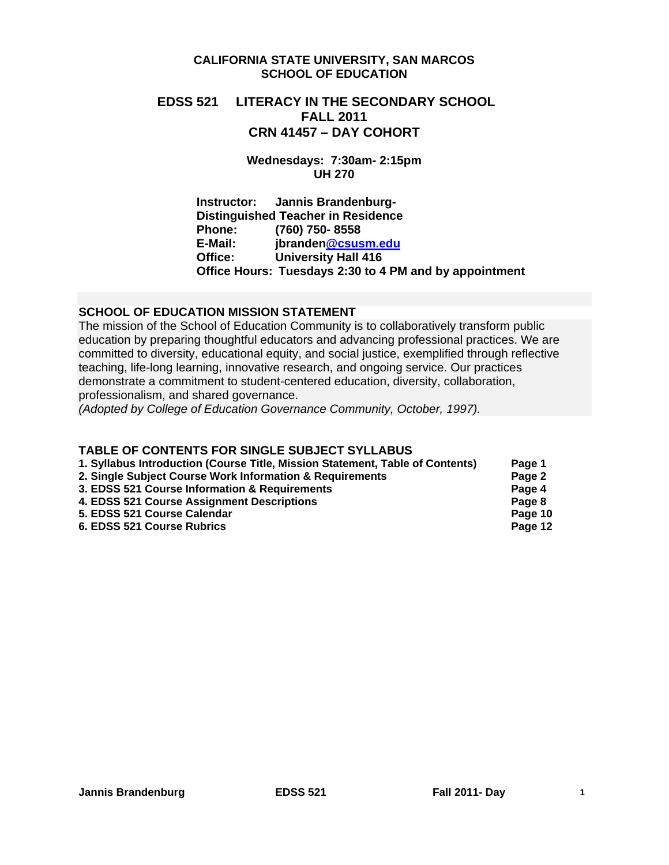## **CALIFORNIA STATE UNIVERSITY, SAN MARCOS SCHOOL OF EDUCATION**

# **EDSS 521 LITERACY IN THE SECONDARY SCHOOL FALL 2011 CRN 41457 – DAY COHORT**

**Wednesdays: 7:30am- 2:15pm UH 270**

**Instructor: Jannis Brandenburg-Distinguished Teacher in Residence Phone: (760) 750- 8558 E-Mail: jbranden@csusm.edu University Hall 416 Office Hours: Tuesdays 2:30 to 4 PM and by appointment** 

# **SCHOOL OF EDUCATION MISSION STATEMENT**

 professionalism, and shared governance. The mission of the School of Education Community is to collaboratively transform public education by preparing thoughtful educators and advancing professional practices. We are committed to diversity, educational equity, and social justice, exemplified through reflective teaching, life-long learning, innovative research, and ongoing service. Our practices demonstrate a commitment to student-centered education, diversity, collaboration,

*(Adopted by College of Education Governance Community, October, 1997).* 

# **TABLE OF CONTENTS FOR SINGLE SUBJECT SYLLABUS**

| 1. Syllabus Introduction (Course Title, Mission Statement, Table of Contents) | Page 1  |
|-------------------------------------------------------------------------------|---------|
| 2. Single Subject Course Work Information & Requirements                      | Page 2  |
| 3. EDSS 521 Course Information & Requirements                                 | Page 4  |
| 4. EDSS 521 Course Assignment Descriptions                                    | Page 8  |
| 5. EDSS 521 Course Calendar                                                   | Page 10 |
| 6. EDSS 521 Course Rubrics                                                    | Page 12 |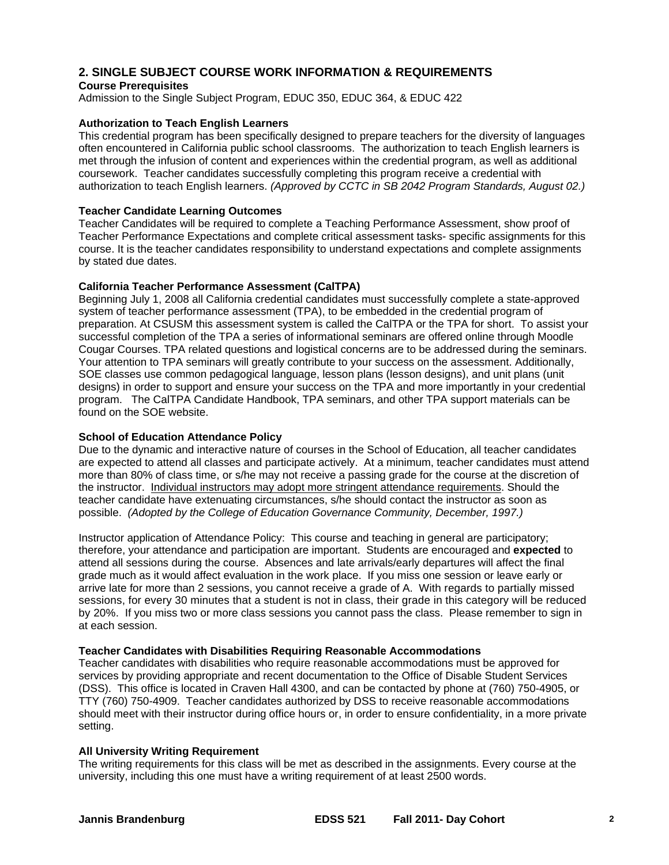# **2. SINGLE SUBJECT COURSE WORK INFORMATION & REQUIREMENTS**

#### **Course Prerequisites**

Admission to the Single Subject Program, EDUC 350, EDUC 364, & EDUC 422

#### **Authorization to Teach English Learners**

This credential program has been specifically designed to prepare teachers for the diversity of languages often encountered in California public school classrooms. The authorization to teach English learners is met through the infusion of content and experiences within the credential program, as well as additional coursework. Teacher candidates successfully completing this program receive a credential with authorization to teach English learners. *(Approved by CCTC in SB 2042 Program Standards, August 02.)* 

#### **Teacher Candidate Learning Outcomes**

Teacher Candidates will be required to complete a Teaching Performance Assessment, show proof of Teacher Performance Expectations and complete critical assessment tasks- specific assignments for this course. It is the teacher candidates responsibility to understand expectations and complete assignments by stated due dates.

#### **California Teacher Performance Assessment (CalTPA)**

Beginning July 1, 2008 all California credential candidates must successfully complete a state-approved system of teacher performance assessment (TPA), to be embedded in the credential program of preparation. At CSUSM this assessment system is called the CalTPA or the TPA for short. To assist your successful completion of the TPA a series of informational seminars are offered online through Moodle Cougar Courses. TPA related questions and logistical concerns are to be addressed during the seminars. Your attention to TPA seminars will greatly contribute to your success on the assessment. Additionally, SOE classes use common pedagogical language, lesson plans (lesson designs), and unit plans (unit designs) in order to support and ensure your success on the TPA and more importantly in your credential program. The CalTPA Candidate Handbook, TPA seminars, and other TPA support materials can be found on the SOE website.

#### **School of Education Attendance Policy**

 possible. *(Adopted by the College of Education Governance Community, December, 1997.)* Due to the dynamic and interactive nature of courses in the School of Education, all teacher candidates are expected to attend all classes and participate actively. At a minimum, teacher candidates must attend more than 80% of class time, or s/he may not receive a passing grade for the course at the discretion of the instructor. Individual instructors may adopt more stringent attendance requirements. Should the teacher candidate have extenuating circumstances, s/he should contact the instructor as soon as

 arrive late for more than 2 sessions, you cannot receive a grade of A. With regards to partially missed by 20%. If you miss two or more class sessions you cannot pass the class. Please remember to sign in Instructor application of Attendance Policy: This course and teaching in general are participatory; therefore, your attendance and participation are important. Students are encouraged and **expected** to attend all sessions during the course. Absences and late arrivals/early departures will affect the final grade much as it would affect evaluation in the work place. If you miss one session or leave early or sessions, for every 30 minutes that a student is not in class, their grade in this category will be reduced at each session.

## **Teacher Candidates with Disabilities Requiring Reasonable Accommodations**

Teacher candidates with disabilities who require reasonable accommodations must be approved for services by providing appropriate and recent documentation to the Office of Disable Student Services (DSS). This office is located in Craven Hall 4300, and can be contacted by phone at (760) 750-4905, or TTY (760) 750-4909. Teacher candidates authorized by DSS to receive reasonable accommodations should meet with their instructor during office hours or, in order to ensure confidentiality, in a more private setting.

#### **All University Writing Requirement**

The writing requirements for this class will be met as described in the assignments. Every course at the university, including this one must have a writing requirement of at least 2500 words.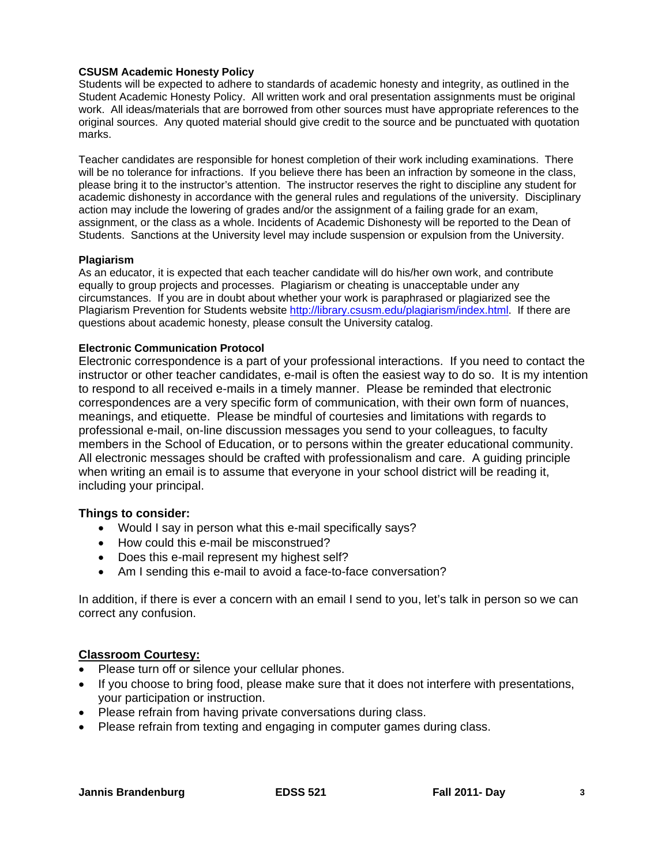## **CSUSM Academic Honesty Policy**

Students will be expected to adhere to standards of academic honesty and integrity, as outlined in the Student Academic Honesty Policy. All written work and oral presentation assignments must be original work. All ideas/materials that are borrowed from other sources must have appropriate references to the original sources. Any quoted material should give credit to the source and be punctuated with quotation marks.

Teacher candidates are responsible for honest completion of their work including examinations. There will be no tolerance for infractions. If you believe there has been an infraction by someone in the class, please bring it to the instructor's attention. The instructor reserves the right to discipline any student for academic dishonesty in accordance with the general rules and regulations of the university. Disciplinary action may include the lowering of grades and/or the assignment of a failing grade for an exam, assignment, or the class as a whole. Incidents of Academic Dishonesty will be reported to the Dean of Students. Sanctions at the University level may include suspension or expulsion from the University.

#### **Plagiarism**

As an educator, it is expected that each teacher candidate will do his/her own work, and contribute equally to group projects and processes. Plagiarism or cheating is unacceptable under any circumstances. If you are in doubt about whether your work is paraphrased or plagiarized see the Plagiarism Prevention for Students website http://library.csusm.edu/plagiarism/index.html. If there are questions about academic honesty, please consult the University catalog.

## **Electronic Communication Protocol**

Electronic correspondence is a part of your professional interactions. If you need to contact the instructor or other teacher candidates, e-mail is often the easiest way to do so. It is my intention to respond to all received e-mails in a timely manner. Please be reminded that electronic correspondences are a very specific form of communication, with their own form of nuances, meanings, and etiquette. Please be mindful of courtesies and limitations with regards to professional e-mail, on-line discussion messages you send to your colleagues, to faculty members in the School of Education, or to persons within the greater educational community. All electronic messages should be crafted with professionalism and care. A guiding principle when writing an email is to assume that everyone in your school district will be reading it, including your principal.

## **Things to consider:**

- Would I say in person what this e-mail specifically says?
- How could this e-mail be misconstrued?
- Does this e-mail represent my highest self?
- Am I sending this e-mail to avoid a face-to-face conversation?

In addition, if there is ever a concern with an email I send to you, let's talk in person so we can correct any confusion.

## **Classroom Courtesy:**

- Please turn off or silence your cellular phones.
- If you choose to bring food, please make sure that it does not interfere with presentations, your participation or instruction.
- Please refrain from having private conversations during class.
- Please refrain from texting and engaging in computer games during class.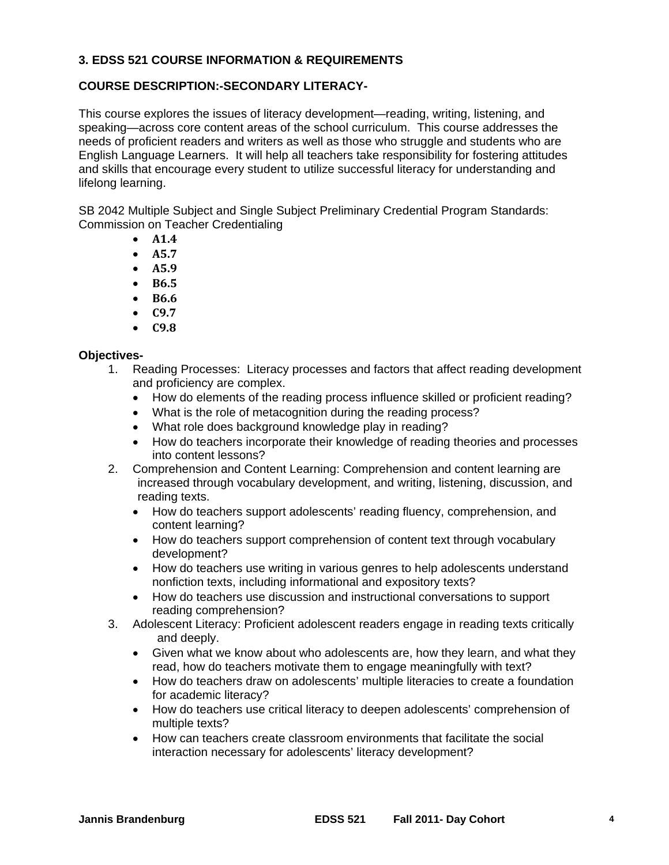# **3. EDSS 521 COURSE INFORMATION & REQUIREMENTS**

# **COURSE DESCRIPTION:-SECONDARY LITERACY-**

This course explores the issues of literacy development—reading, writing, listening, and speaking—across core content areas of the school curriculum. This course addresses the needs of proficient readers and writers as well as those who struggle and students who are English Language Learners. It will help all teachers take responsibility for fostering attitudes and skills that encourage every student to utilize successful literacy for understanding and lifelong learning.

SB 2042 Multiple Subject and Single Subject Preliminary Credential Program Standards: Commission on Teacher Credentialing

- **A1.4**
- **A5.7**
- **A5.9**
- **B6.5**
- **B6.6**
- **C9.7**
- **C9.8**

# **Objectives-**

- 1. Reading Processes: Literacy processes and factors that affect reading development and proficiency are complex.
	- How do elements of the reading process influence skilled or proficient reading?
	- What is the role of metacognition during the reading process?
	- What role does background knowledge play in reading?
	- How do teachers incorporate their knowledge of reading theories and processes into content lessons?
- 2. Comprehension and Content Learning: Comprehension and content learning are increased through vocabulary development, and writing, listening, discussion, and reading texts.
	- How do teachers support adolescents' reading fluency, comprehension, and content learning?
	- How do teachers support comprehension of content text through vocabulary development?
	- How do teachers use writing in various genres to help adolescents understand nonfiction texts, including informational and expository texts?
	- How do teachers use discussion and instructional conversations to support reading comprehension?
- 3. Adolescent Literacy: Proficient adolescent readers engage in reading texts critically and deeply.
	- Given what we know about who adolescents are, how they learn, and what they read, how do teachers motivate them to engage meaningfully with text?
	- How do teachers draw on adolescents' multiple literacies to create a foundation for academic literacy?
	- How do teachers use critical literacy to deepen adolescents' comprehension of multiple texts?
	- How can teachers create classroom environments that facilitate the social interaction necessary for adolescents' literacy development?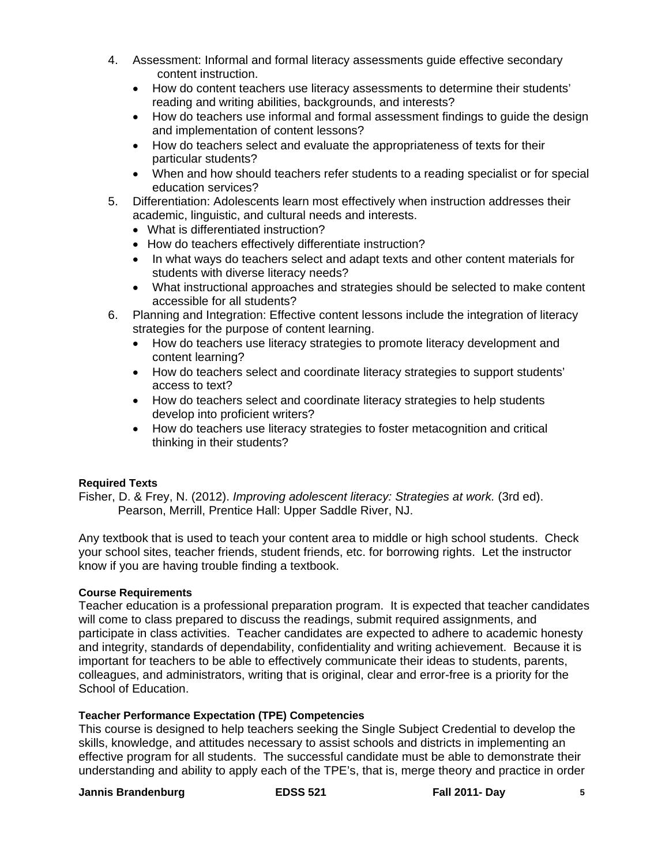- 4. Assessment: Informal and formal literacy assessments guide effective secondary content instruction.
	- How do content teachers use literacy assessments to determine their students' reading and writing abilities, backgrounds, and interests?
	- How do teachers use informal and formal assessment findings to guide the design and implementation of content lessons?
	- How do teachers select and evaluate the appropriateness of texts for their particular students?
	- When and how should teachers refer students to a reading specialist or for special education services?
- 5. Differentiation: Adolescents learn most effectively when instruction addresses their academic, linguistic, and cultural needs and interests.
	- What is differentiated instruction?
	- How do teachers effectively differentiate instruction?
	- In what ways do teachers select and adapt texts and other content materials for students with diverse literacy needs?
	- What instructional approaches and strategies should be selected to make content accessible for all students?
- 6. Planning and Integration: Effective content lessons include the integration of literacy strategies for the purpose of content learning.
	- How do teachers use literacy strategies to promote literacy development and content learning?
	- How do teachers select and coordinate literacy strategies to support students' access to text?
	- How do teachers select and coordinate literacy strategies to help students develop into proficient writers?
	- How do teachers use literacy strategies to foster metacognition and critical thinking in their students?

# **Required Texts**

Fisher, D. & Frey, N. (2012). *Improving adolescent literacy: Strategies at work.* (3rd ed). Pearson, Merrill, Prentice Hall: Upper Saddle River, NJ.

Any textbook that is used to teach your content area to middle or high school students. Check your school sites, teacher friends, student friends, etc. for borrowing rights. Let the instructor know if you are having trouble finding a textbook.

# **Course Requirements**

Teacher education is a professional preparation program. It is expected that teacher candidates will come to class prepared to discuss the readings, submit required assignments, and participate in class activities. Teacher candidates are expected to adhere to academic honesty and integrity, standards of dependability, confidentiality and writing achievement. Because it is important for teachers to be able to effectively communicate their ideas to students, parents, colleagues, and administrators, writing that is original, clear and error-free is a priority for the School of Education.

## **Teacher Performance Expectation (TPE) Competencies**

This course is designed to help teachers seeking the Single Subject Credential to develop the skills, knowledge, and attitudes necessary to assist schools and districts in implementing an effective program for all students. The successful candidate must be able to demonstrate their understanding and ability to apply each of the TPE's, that is, merge theory and practice in order

# **Jannis Brandenburg**  The Least S21 Fall 2011- Day 5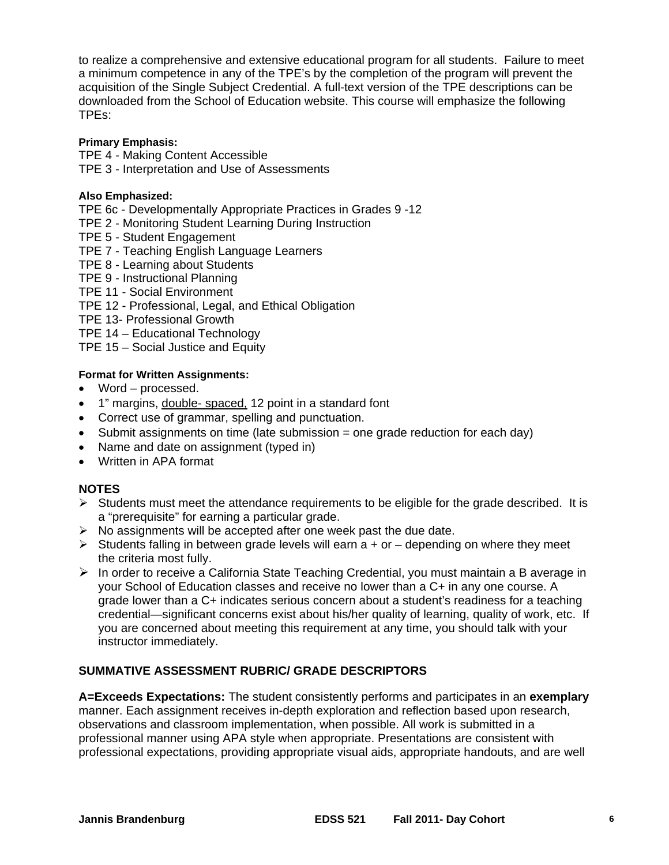to realize a comprehensive and extensive educational program for all students. Failure to meet a minimum competence in any of the TPE's by the completion of the program will prevent the acquisition of the Single Subject Credential. A full-text version of the TPE descriptions can be downloaded from the School of Education website. This course will emphasize the following TPEs:

## **Primary Emphasis:**

TPE 4 - Making Content Accessible

TPE 3 - Interpretation and Use of Assessments

# **Also Emphasized:**

- TPE 6c Developmentally Appropriate Practices in Grades 9 -12
- TPE 2 Monitoring Student Learning During Instruction
- TPE 5 Student Engagement
- TPE 7 Teaching English Language Learners
- TPE 8 Learning about Students
- TPE 9 Instructional Planning
- TPE 11 Social Environment
- TPE 12 Professional, Legal, and Ethical Obligation
- TPE 13- Professional Growth
- TPE 14 Educational Technology

TPE 15 – Social Justice and Equity

# **Format for Written Assignments:**

- Word processed.
- 1" margins, double- spaced, 12 point in a standard font
- Correct use of grammar, spelling and punctuation.
- Submit assignments on time (late submission  $=$  one grade reduction for each day)
- Name and date on assignment (typed in)
- Written in APA format

# **NOTES**

- $\triangleright$  Students must meet the attendance requirements to be eligible for the grade described. It is a "prerequisite" for earning a particular grade.
- $\triangleright$  No assignments will be accepted after one week past the due date.
- $\triangleright$  Students falling in between grade levels will earn a + or depending on where they meet the criteria most fully.
- $\triangleright$  In order to receive a California State Teaching Credential, you must maintain a B average in your School of Education classes and receive no lower than a C+ in any one course. A grade lower than a C+ indicates serious concern about a student's readiness for a teaching credential—significant concerns exist about his/her quality of learning, quality of work, etc. If you are concerned about meeting this requirement at any time, you should talk with your instructor immediately.

# **SUMMATIVE ASSESSMENT RUBRIC/ GRADE DESCRIPTORS**

**A=Exceeds Expectations:** The student consistently performs and participates in an **exemplary**  manner. Each assignment receives in-depth exploration and reflection based upon research, observations and classroom implementation, when possible. All work is submitted in a professional manner using APA style when appropriate. Presentations are consistent with professional expectations, providing appropriate visual aids, appropriate handouts, and are well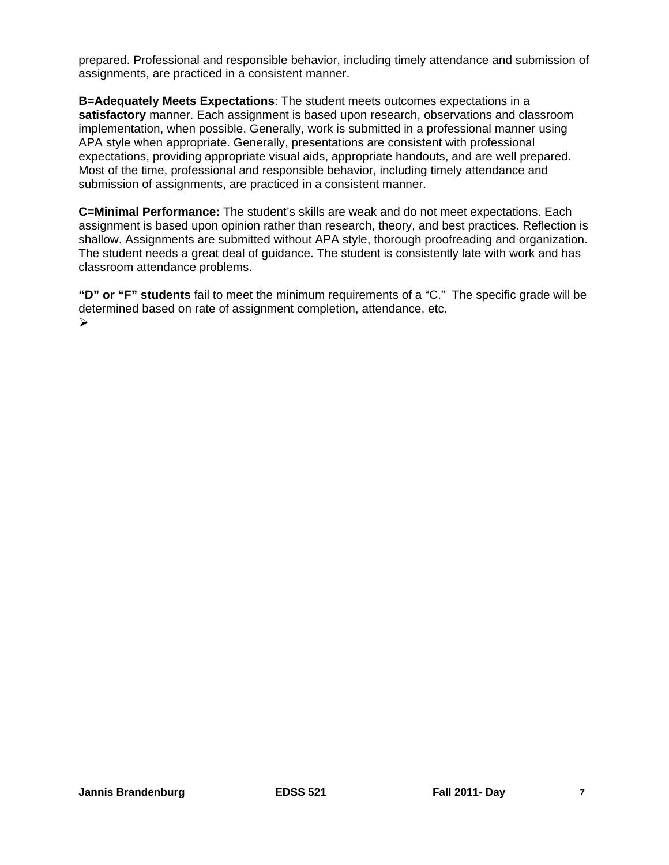prepared. Professional and responsible behavior, including timely attendance and submission of assignments, are practiced in a consistent manner.

**B=Adequately Meets Expectations**: The student meets outcomes expectations in a **satisfactory** manner. Each assignment is based upon research, observations and classroom implementation, when possible. Generally, work is submitted in a professional manner using APA style when appropriate. Generally, presentations are consistent with professional expectations, providing appropriate visual aids, appropriate handouts, and are well prepared. Most of the time, professional and responsible behavior, including timely attendance and submission of assignments, are practiced in a consistent manner.

**C=Minimal Performance:** The student's skills are weak and do not meet expectations. Each assignment is based upon opinion rather than research, theory, and best practices. Reflection is shallow. Assignments are submitted without APA style, thorough proofreading and organization. The student needs a great deal of guidance. The student is consistently late with work and has classroom attendance problems.

**"D" or "F" students** fail to meet the minimum requirements of a "C." The specific grade will be determined based on rate of assignment completion, attendance, etc.  $\blacktriangleright$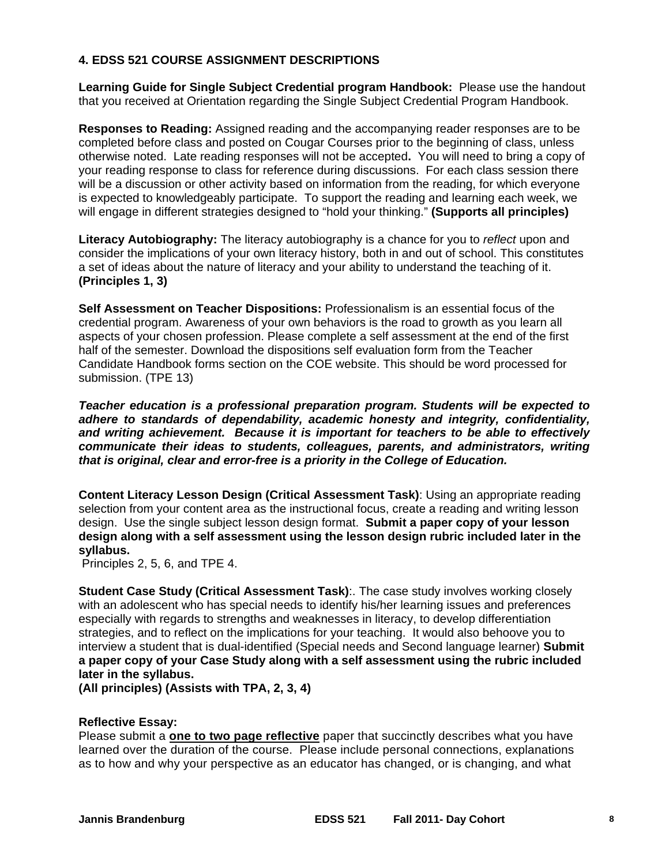# **4. EDSS 521 COURSE ASSIGNMENT DESCRIPTIONS**

**Learning Guide for Single Subject Credential program Handbook:** Please use the handout that you received at Orientation regarding the Single Subject Credential Program Handbook.

**Responses to Reading:** Assigned reading and the accompanying reader responses are to be completed before class and posted on Cougar Courses prior to the beginning of class, unless otherwise noted. Late reading responses will not be accepted**.** You will need to bring a copy of your reading response to class for reference during discussions. For each class session there will be a discussion or other activity based on information from the reading, for which everyone is expected to knowledgeably participate. To support the reading and learning each week, we will engage in different strategies designed to "hold your thinking." **(Supports all principles)** 

**Literacy Autobiography:** The literacy autobiography is a chance for you to *reflect* upon and consider the implications of your own literacy history, both in and out of school. This constitutes a set of ideas about the nature of literacy and your ability to understand the teaching of it. **(Principles 1, 3)** 

**Self Assessment on Teacher Dispositions:** Professionalism is an essential focus of the credential program. Awareness of your own behaviors is the road to growth as you learn all aspects of your chosen profession. Please complete a self assessment at the end of the first half of the semester. Download the dispositions self evaluation form from the Teacher Candidate Handbook forms section on the COE website. This should be word processed for submission. (TPE 13)

*Teacher education is a professional preparation program. Students will be expected to adhere to standards of dependability, academic honesty and integrity, confidentiality, and writing achievement. Because it is important for teachers to be able to effectively communicate their ideas to students, colleagues, parents, and administrators, writing that is original, clear and error-free is a priority in the College of Education.* 

**Content Literacy Lesson Design (Critical Assessment Task)**: Using an appropriate reading selection from your content area as the instructional focus, create a reading and writing lesson design. Use the single subject lesson design format. **Submit a paper copy of your lesson design along with a self assessment using the lesson design rubric included later in the syllabus.** 

Principles 2, 5, 6, and TPE 4.

**Student Case Study (Critical Assessment Task)**:. The case study involves working closely with an adolescent who has special needs to identify his/her learning issues and preferences especially with regards to strengths and weaknesses in literacy, to develop differentiation strategies, and to reflect on the implications for your teaching. It would also behoove you to interview a student that is dual-identified (Special needs and Second language learner) **Submit a paper copy of your Case Study along with a self assessment using the rubric included later in the syllabus.** 

**(All principles) (Assists with TPA, 2, 3, 4)** 

## **Reflective Essay:**

 Please submit a **one to two page reflective** paper that succinctly describes what you have learned over the duration of the course. Please include personal connections, explanations as to how and why your perspective as an educator has changed, or is changing, and what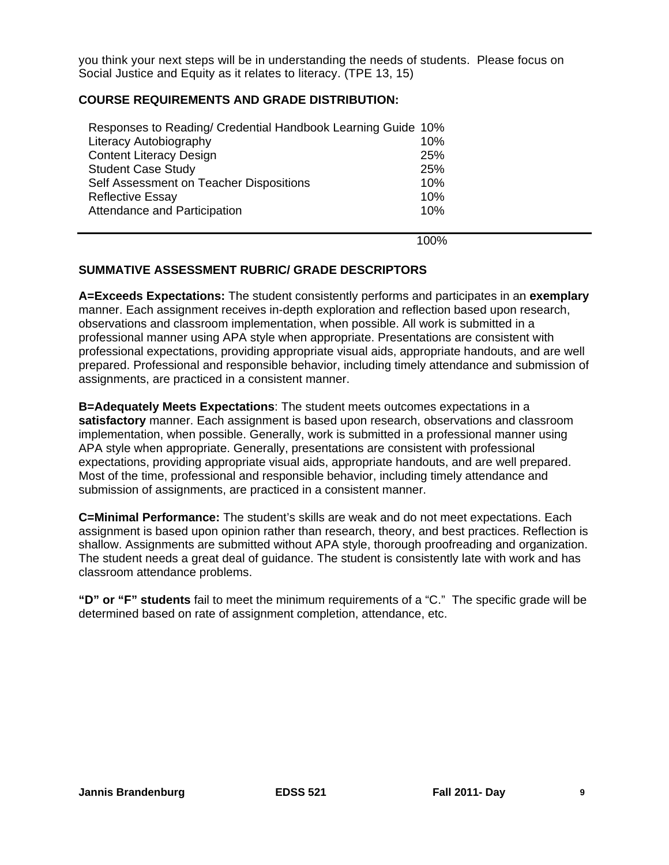Social Justice and Equity as it relates to literacy. (TPE 13, 15) you think your next steps will be in understanding the needs of students. Please focus on

# **COURSE REQUIREMENTS AND GRADE DISTRIBUTION:**

| Responses to Reading/ Credential Handbook Learning Guide 10% |     |
|--------------------------------------------------------------|-----|
| Literacy Autobiography                                       | 10% |
| <b>Content Literacy Design</b>                               | 25% |
| <b>Student Case Study</b>                                    | 25% |
| Self Assessment on Teacher Dispositions                      | 10% |
| <b>Reflective Essay</b>                                      | 10% |
| Attendance and Participation                                 | 10% |
|                                                              |     |

100%

# **SUMMATIVE ASSESSMENT RUBRIC/ GRADE DESCRIPTORS**

**A=Exceeds Expectations:** The student consistently performs and participates in an **exemplary**  manner. Each assignment receives in-depth exploration and reflection based upon research, observations and classroom implementation, when possible. All work is submitted in a professional manner using APA style when appropriate. Presentations are consistent with professional expectations, providing appropriate visual aids, appropriate handouts, and are well prepared. Professional and responsible behavior, including timely attendance and submission of assignments, are practiced in a consistent manner.

**B=Adequately Meets Expectations**: The student meets outcomes expectations in a **satisfactory** manner. Each assignment is based upon research, observations and classroom implementation, when possible. Generally, work is submitted in a professional manner using APA style when appropriate. Generally, presentations are consistent with professional expectations, providing appropriate visual aids, appropriate handouts, and are well prepared. Most of the time, professional and responsible behavior, including timely attendance and submission of assignments, are practiced in a consistent manner.

**C=Minimal Performance:** The student's skills are weak and do not meet expectations. Each assignment is based upon opinion rather than research, theory, and best practices. Reflection is shallow. Assignments are submitted without APA style, thorough proofreading and organization. The student needs a great deal of guidance. The student is consistently late with work and has classroom attendance problems.

**"D" or "F" students** fail to meet the minimum requirements of a "C." The specific grade will be determined based on rate of assignment completion, attendance, etc.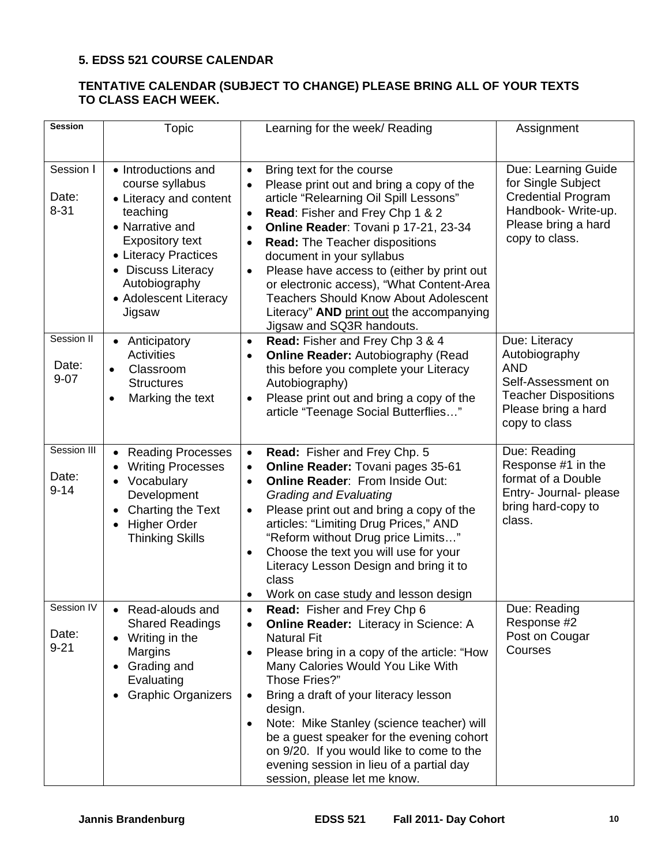# **5. EDSS 521 COURSE CALENDAR**

# **TENTATIVE CALENDAR (SUBJECT TO CHANGE) PLEASE BRING ALL OF YOUR TEXTS TO CLASS EACH WEEK.**

| <b>Session</b>                   | Topic                                                                                                                                                                                                                       | Learning for the week/ Reading                                                                                                                                                                                                                                                                                                                                                                                                                                                                                                                        | Assignment                                                                                                                                |
|----------------------------------|-----------------------------------------------------------------------------------------------------------------------------------------------------------------------------------------------------------------------------|-------------------------------------------------------------------------------------------------------------------------------------------------------------------------------------------------------------------------------------------------------------------------------------------------------------------------------------------------------------------------------------------------------------------------------------------------------------------------------------------------------------------------------------------------------|-------------------------------------------------------------------------------------------------------------------------------------------|
|                                  |                                                                                                                                                                                                                             |                                                                                                                                                                                                                                                                                                                                                                                                                                                                                                                                                       |                                                                                                                                           |
| Session I<br>Date:<br>$8 - 31$   | • Introductions and<br>course syllabus<br>• Literacy and content<br>teaching<br>• Narrative and<br><b>Expository text</b><br>• Literacy Practices<br>• Discuss Literacy<br>Autobiography<br>• Adolescent Literacy<br>Jigsaw | Bring text for the course<br>$\bullet$<br>Please print out and bring a copy of the<br>article "Relearning Oil Spill Lessons"<br>Read: Fisher and Frey Chp 1 & 2<br>$\bullet$<br>Online Reader: Tovani p 17-21, 23-34<br>$\bullet$<br><b>Read: The Teacher dispositions</b><br>$\bullet$<br>document in your syllabus<br>Please have access to (either by print out<br>$\bullet$<br>or electronic access), "What Content-Area<br><b>Teachers Should Know About Adolescent</b><br>Literacy" AND print out the accompanying<br>Jigsaw and SQ3R handouts. | Due: Learning Guide<br>for Single Subject<br><b>Credential Program</b><br>Handbook- Write-up.<br>Please bring a hard<br>copy to class.    |
| Session II<br>Date:<br>$9 - 07$  | • Anticipatory<br><b>Activities</b><br>Classroom<br>$\bullet$<br><b>Structures</b><br>Marking the text<br>$\bullet$                                                                                                         | Read: Fisher and Frey Chp 3 & 4<br>$\bullet$<br><b>Online Reader: Autobiography (Read</b><br>this before you complete your Literacy<br>Autobiography)<br>Please print out and bring a copy of the<br>$\bullet$<br>article "Teenage Social Butterflies"                                                                                                                                                                                                                                                                                                | Due: Literacy<br>Autobiography<br><b>AND</b><br>Self-Assessment on<br><b>Teacher Dispositions</b><br>Please bring a hard<br>copy to class |
| Session III<br>Date:<br>$9 - 14$ | • Reading Processes<br><b>Writing Processes</b><br>Vocabulary<br>Development<br>Charting the Text<br>$\bullet$<br><b>Higher Order</b><br>$\bullet$<br><b>Thinking Skills</b>                                                | Read: Fisher and Frey Chp. 5<br>$\bullet$<br>Online Reader: Tovani pages 35-61<br>$\bullet$<br><b>Online Reader: From Inside Out:</b><br>$\bullet$<br><b>Grading and Evaluating</b><br>Please print out and bring a copy of the<br>$\bullet$<br>articles: "Limiting Drug Prices," AND<br>"Reform without Drug price Limits"<br>Choose the text you will use for your<br>$\bullet$<br>Literacy Lesson Design and bring it to<br>class<br>Work on case study and lesson design                                                                          | Due: Reading<br>Response #1 in the<br>format of a Double<br>Entry- Journal- please<br>bring hard-copy to<br>class.                        |
| Session IV<br>Date:<br>$9 - 21$  | Read-alouds and<br><b>Shared Readings</b><br>Writing in the<br>Margins<br>• Grading and<br>Evaluating<br><b>Graphic Organizers</b>                                                                                          | Read: Fisher and Frey Chp 6<br><b>Online Reader:</b> Literacy in Science: A<br><b>Natural Fit</b><br>Please bring in a copy of the article: "How<br>$\bullet$<br>Many Calories Would You Like With<br>Those Fries?"<br>Bring a draft of your literacy lesson<br>$\bullet$<br>design.<br>Note: Mike Stanley (science teacher) will<br>$\bullet$<br>be a guest speaker for the evening cohort<br>on 9/20. If you would like to come to the<br>evening session in lieu of a partial day<br>session, please let me know.                                  | Due: Reading<br>Response #2<br>Post on Cougar<br>Courses                                                                                  |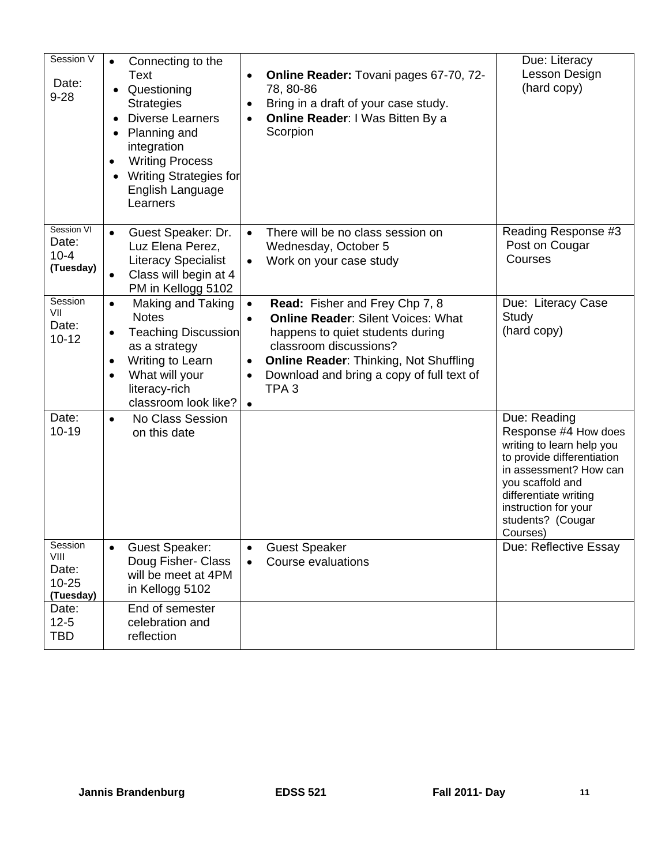| Session V<br>Date:<br>$9 - 28$                     | Connecting to the<br>$\bullet$<br>Text<br>Questioning<br><b>Strategies</b><br><b>Diverse Learners</b><br>Planning and<br>integration<br><b>Writing Process</b><br>$\bullet$<br><b>Writing Strategies for</b><br>English Language<br>Learners | Online Reader: Tovani pages 67-70, 72-<br>$\bullet$<br>78, 80-86<br>Bring in a draft of your case study.<br>٠<br>Online Reader: I Was Bitten By a<br>$\bullet$<br>Scorpion                                                                                                                                                   | Due: Literacy<br>Lesson Design<br>(hard copy)                                                                                                                                                                                   |
|----------------------------------------------------|----------------------------------------------------------------------------------------------------------------------------------------------------------------------------------------------------------------------------------------------|------------------------------------------------------------------------------------------------------------------------------------------------------------------------------------------------------------------------------------------------------------------------------------------------------------------------------|---------------------------------------------------------------------------------------------------------------------------------------------------------------------------------------------------------------------------------|
| Session VI<br>Date:<br>$10 - 4$<br>(Tuesday)       | Guest Speaker: Dr.<br>$\bullet$<br>Luz Elena Perez,<br><b>Literacy Specialist</b><br>Class will begin at 4<br>PM in Kellogg 5102                                                                                                             | There will be no class session on<br>$\bullet$<br>Wednesday, October 5<br>Work on your case study<br>$\bullet$                                                                                                                                                                                                               | Reading Response #3<br>Post on Cougar<br>Courses                                                                                                                                                                                |
| Session<br>VII<br>Date:<br>$10 - 12$               | Making and Taking<br>$\bullet$<br><b>Notes</b><br><b>Teaching Discussion</b><br>$\bullet$<br>as a strategy<br>Writing to Learn<br>$\bullet$<br>What will your<br>$\bullet$<br>literacy-rich<br>classroom look like?                          | Read: Fisher and Frey Chp 7, 8<br>$\bullet$<br><b>Online Reader: Silent Voices: What</b><br>$\bullet$<br>happens to quiet students during<br>classroom discussions?<br><b>Online Reader: Thinking, Not Shuffling</b><br>$\bullet$<br>Download and bring a copy of full text of<br>$\bullet$<br>TPA <sub>3</sub><br>$\bullet$ | Due: Literacy Case<br>Study<br>(hard copy)                                                                                                                                                                                      |
| Date:<br>$10 - 19$                                 | No Class Session<br>$\bullet$<br>on this date                                                                                                                                                                                                |                                                                                                                                                                                                                                                                                                                              | Due: Reading<br>Response #4 How does<br>writing to learn help you<br>to provide differentiation<br>in assessment? How can<br>you scaffold and<br>differentiate writing<br>instruction for your<br>students? (Cougar<br>Courses) |
| Session<br>VIII<br>Date:<br>$10 - 25$<br>(Tuesday) | <b>Guest Speaker:</b><br>$\bullet$<br>Doug Fisher- Class<br>will be meet at 4PM<br>in Kellogg 5102                                                                                                                                           | <b>Guest Speaker</b><br><b>Course evaluations</b><br>$\bullet$                                                                                                                                                                                                                                                               | Due: Reflective Essay                                                                                                                                                                                                           |
| Date:<br>$12 - 5$<br><b>TBD</b>                    | End of semester<br>celebration and<br>reflection                                                                                                                                                                                             |                                                                                                                                                                                                                                                                                                                              |                                                                                                                                                                                                                                 |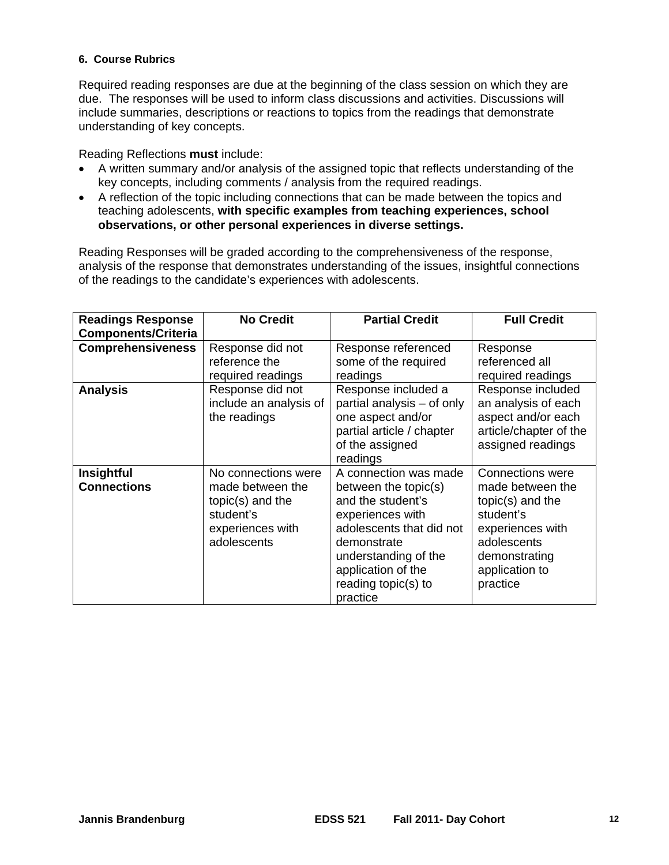## **6. Course Rubrics**

Required reading responses are due at the beginning of the class session on which they are due. The responses will be used to inform class discussions and activities. Discussions will include summaries, descriptions or reactions to topics from the readings that demonstrate understanding of key concepts.

Reading Reflections **must** include:

- key concepts, including comments / analysis from the required readings. A written summary and/or analysis of the assigned topic that reflects understanding of the
- A reflection of the topic including connections that can be made between the topics and teaching adolescents, **with specific examples from teaching experiences, school observations, or other personal experiences in diverse settings.**

Reading Responses will be graded according to the comprehensiveness of the response, analysis of the response that demonstrates understanding of the issues, insightful connections of the readings to the candidate's experiences with adolescents.

| <b>Readings Response</b><br><b>Components/Criteria</b> | <b>No Credit</b>                                                                                            | <b>Partial Credit</b>                                                                                                                                                                                              | <b>Full Credit</b>                                                                                                                                             |
|--------------------------------------------------------|-------------------------------------------------------------------------------------------------------------|--------------------------------------------------------------------------------------------------------------------------------------------------------------------------------------------------------------------|----------------------------------------------------------------------------------------------------------------------------------------------------------------|
| <b>Comprehensiveness</b>                               | Response did not<br>reference the<br>required readings                                                      | Response referenced<br>some of the required<br>readings                                                                                                                                                            | Response<br>referenced all<br>required readings                                                                                                                |
| <b>Analysis</b>                                        | Response did not<br>include an analysis of<br>the readings                                                  | Response included a<br>partial analysis - of only<br>one aspect and/or<br>partial article / chapter<br>of the assigned<br>readings                                                                                 | Response included<br>an analysis of each<br>aspect and/or each<br>article/chapter of the<br>assigned readings                                                  |
| <b>Insightful</b><br><b>Connections</b>                | No connections were<br>made between the<br>topic(s) and the<br>student's<br>experiences with<br>adolescents | A connection was made<br>between the topic(s)<br>and the student's<br>experiences with<br>adolescents that did not<br>demonstrate<br>understanding of the<br>application of the<br>reading topic(s) to<br>practice | <b>Connections were</b><br>made between the<br>topic(s) and the<br>student's<br>experiences with<br>adolescents<br>demonstrating<br>application to<br>practice |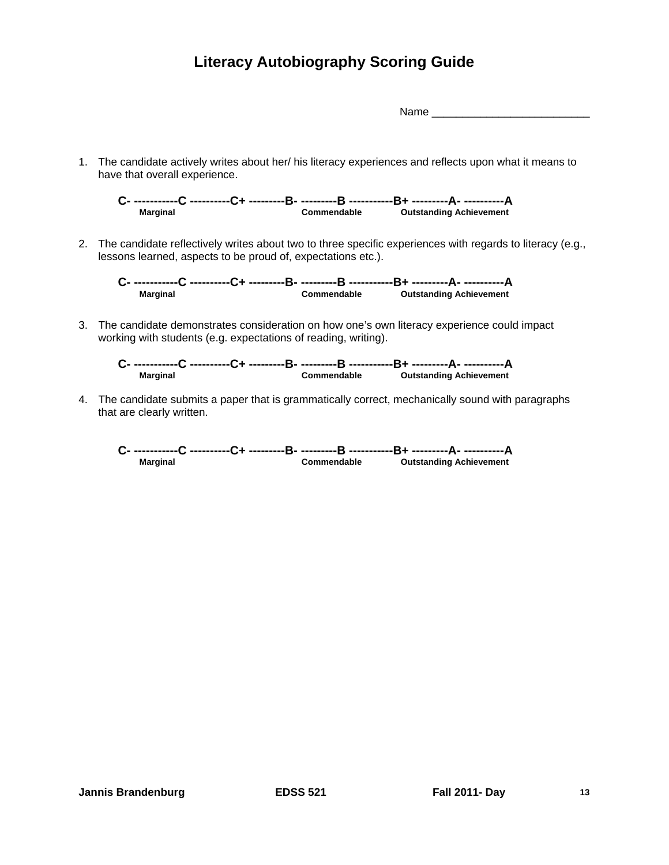# **Literacy Autobiography Scoring Guide**

 $Name$ 

1. The candidate actively writes about her/ his literacy experiences and reflects upon what it means to have that overall experience.

**C- -----------C ----------C+ ---------B- ---------B -----------B+ ---------A- ----------A Marginal Commendable Outstanding Achievement** 

2. The candidate reflectively writes about two to three specific experiences with regards to literacy (e.g., lessons learned, aspects to be proud of, expectations etc.).

**C- -----------C ----------C+ ---------B- ---------B -----------B+ ---------A- ----------A Marginal Commendable Outstanding Achievement** 

3. The candidate demonstrates consideration on how one's own literacy experience could impact working with students (e.g. expectations of reading, writing).

**C- -----------C ----------C+ ---------B- ---------B -----------B+ ---------A- ----------A Marginal Commendable Outstanding Achievement** 

4. The candidate submits a paper that is grammatically correct, mechanically sound with paragraphs that are clearly written.

**C- -----------C ----------C+ ---------B- ---------B -----------B+ ---------A- ----------A Marginal Commendable Outstanding Achievement**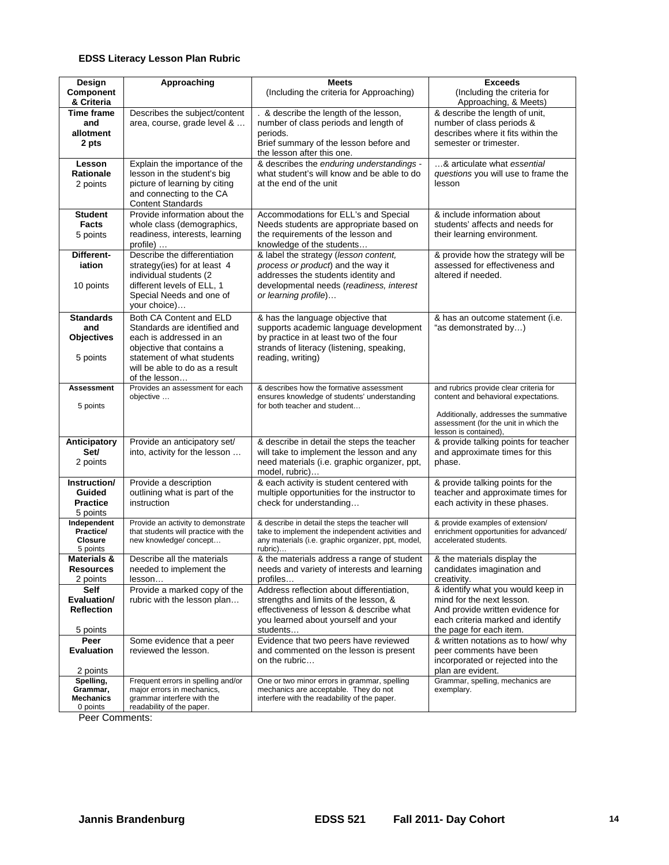#### **EDSS Literacy Lesson Plan Rubric**

| Design                   | Approaching                                                                | <b>Meets</b>                                                                                        | <b>Exceeds</b>                                                             |
|--------------------------|----------------------------------------------------------------------------|-----------------------------------------------------------------------------------------------------|----------------------------------------------------------------------------|
| Component                |                                                                            | (Including the criteria for Approaching)                                                            | (Including the criteria for                                                |
| & Criteria               |                                                                            |                                                                                                     | Approaching, & Meets)                                                      |
| Time frame               | Describes the subject/content                                              | . & describe the length of the lesson,                                                              | & describe the length of unit,                                             |
| and                      | area, course, grade level &                                                | number of class periods and length of                                                               | number of class periods &                                                  |
| allotment                |                                                                            | periods.                                                                                            | describes where it fits within the                                         |
| 2 pts                    |                                                                            | Brief summary of the lesson before and                                                              | semester or trimester.                                                     |
|                          |                                                                            | the lesson after this one.                                                                          |                                                                            |
| Lesson<br>Rationale      | Explain the importance of the<br>lesson in the student's big               | & describes the enduring understandings -<br>what student's will know and be able to do             | & articulate what essential<br>questions you will use to frame the         |
| 2 points                 | picture of learning by citing                                              | at the end of the unit                                                                              | lesson                                                                     |
|                          | and connecting to the CA                                                   |                                                                                                     |                                                                            |
|                          | <b>Content Standards</b>                                                   |                                                                                                     |                                                                            |
| <b>Student</b>           | Provide information about the                                              | Accommodations for ELL's and Special                                                                | & include information about                                                |
| <b>Facts</b>             | whole class (demographics,                                                 | Needs students are appropriate based on                                                             | students' affects and needs for                                            |
| 5 points                 | readiness, interests, learning                                             | the requirements of the lesson and                                                                  | their learning environment.                                                |
|                          | profile)                                                                   | knowledge of the students                                                                           |                                                                            |
| Different-               | Describe the differentiation                                               | & label the strategy (lesson content,                                                               | & provide how the strategy will be                                         |
| iation                   | strategy(ies) for at least 4                                               | process or product) and the way it                                                                  | assessed for effectiveness and                                             |
|                          | individual students (2                                                     | addresses the students identity and                                                                 | altered if needed.                                                         |
| 10 points                | different levels of ELL, 1                                                 | developmental needs (readiness, interest                                                            |                                                                            |
|                          | Special Needs and one of                                                   | or learning profile)                                                                                |                                                                            |
|                          | your choice)                                                               |                                                                                                     |                                                                            |
| <b>Standards</b><br>and  | Both CA Content and ELD<br>Standards are identified and                    | & has the language objective that<br>supports academic language development                         | & has an outcome statement (i.e.<br>"as demonstrated by)                   |
| <b>Objectives</b>        | each is addressed in an                                                    | by practice in at least two of the four                                                             |                                                                            |
|                          | objective that contains a                                                  | strands of literacy (listening, speaking,                                                           |                                                                            |
| 5 points                 | statement of what students                                                 | reading, writing)                                                                                   |                                                                            |
|                          | will be able to do as a result                                             |                                                                                                     |                                                                            |
|                          | of the lesson                                                              |                                                                                                     |                                                                            |
| <b>Assessment</b>        | Provides an assessment for each                                            | & describes how the formative assessment                                                            | and rubrics provide clear criteria for                                     |
| 5 points                 | objective                                                                  | ensures knowledge of students' understanding<br>for both teacher and student                        | content and behavioral expectations.                                       |
|                          |                                                                            |                                                                                                     | Additionally, addresses the summative                                      |
|                          |                                                                            |                                                                                                     | assessment (for the unit in which the                                      |
|                          |                                                                            |                                                                                                     | lesson is contained)                                                       |
| Anticipatory<br>Set/     | Provide an anticipatory set/<br>into, activity for the lesson              | & describe in detail the steps the teacher<br>will take to implement the lesson and any             | & provide talking points for teacher<br>and approximate times for this     |
| 2 points                 |                                                                            | need materials (i.e. graphic organizer, ppt,                                                        | phase.                                                                     |
|                          |                                                                            | model, rubric)                                                                                      |                                                                            |
| Instruction/             | Provide a description                                                      | & each activity is student centered with                                                            | & provide talking points for the                                           |
| Guided                   | outlining what is part of the                                              | multiple opportunities for the instructor to                                                        | teacher and approximate times for                                          |
| <b>Practice</b>          | instruction                                                                | check for understanding                                                                             | each activity in these phases.                                             |
| 5 points                 |                                                                            |                                                                                                     |                                                                            |
| Independent<br>Practice/ | Provide an activity to demonstrate<br>that students will practice with the | & describe in detail the steps the teacher will<br>take to implement the independent activities and | & provide examples of extension/<br>enrichment opportunities for advanced/ |
| Closure                  | new knowledge/ concept                                                     | any materials (i.e. graphic organizer, ppt, model,                                                  | accelerated students.                                                      |
| 5 points                 |                                                                            | rubric)                                                                                             |                                                                            |
| <b>Materials &amp;</b>   | Describe all the materials                                                 | & the materials address a range of student                                                          | & the materials display the                                                |
| <b>Resources</b>         | needed to implement the                                                    | needs and variety of interests and learning                                                         | candidates imagination and                                                 |
| 2 points                 | lesson                                                                     | profiles                                                                                            | creativity.                                                                |
| Self<br>Evaluation/      | Provide a marked copy of the                                               | Address reflection about differentiation,<br>strengths and limits of the lesson, &                  | & identify what you would keep in<br>mind for the next lesson.             |
| <b>Reflection</b>        | rubric with the lesson plan                                                | effectiveness of lesson & describe what                                                             | And provide written evidence for                                           |
|                          |                                                                            | you learned about yourself and your                                                                 | each criteria marked and identify                                          |
| 5 points                 |                                                                            | students                                                                                            | the page for each item.                                                    |
| Peer                     | Some evidence that a peer                                                  | Evidence that two peers have reviewed                                                               | & written notations as to how/ why                                         |
| <b>Evaluation</b>        | reviewed the lesson.                                                       | and commented on the lesson is present                                                              | peer comments have been                                                    |
|                          |                                                                            | on the rubric                                                                                       | incorporated or rejected into the                                          |
| 2 points                 |                                                                            |                                                                                                     | plan are evident.                                                          |
| Spelling,<br>Grammar,    | Frequent errors in spelling and/or<br>major errors in mechanics,           | One or two minor errors in grammar, spelling<br>mechanics are acceptable. They do not               | Grammar, spelling, mechanics are<br>exemplary.                             |
| <b>Mechanics</b>         | grammar interfere with the                                                 | interfere with the readability of the paper.                                                        |                                                                            |
| 0 points                 | readability of the paper.                                                  |                                                                                                     |                                                                            |
| Peer Comments:           |                                                                            |                                                                                                     |                                                                            |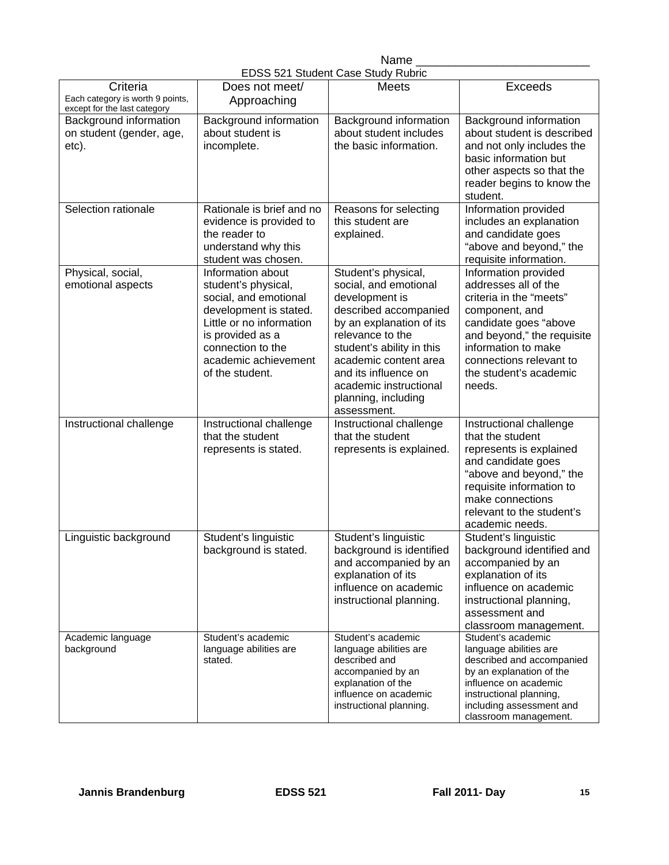#### Name EDSS 521 Student Case Study Rubric

|                                                                                             |                                                                                                                                                                                                             | LDOO JET ORGOGIIL OGOG ORGOJ INGOHO                                                                                                                                                                                                                                                   |                                                                                                                                                                                                                                        |
|---------------------------------------------------------------------------------------------|-------------------------------------------------------------------------------------------------------------------------------------------------------------------------------------------------------------|---------------------------------------------------------------------------------------------------------------------------------------------------------------------------------------------------------------------------------------------------------------------------------------|----------------------------------------------------------------------------------------------------------------------------------------------------------------------------------------------------------------------------------------|
| Criteria<br>Each category is worth 9 points,                                                | Does not meet/<br>Approaching                                                                                                                                                                               | Meets                                                                                                                                                                                                                                                                                 | <b>Exceeds</b>                                                                                                                                                                                                                         |
| except for the last category<br>Background information<br>on student (gender, age,<br>etc). | Background information<br>about student is<br>incomplete.                                                                                                                                                   | Background information<br>about student includes<br>the basic information.                                                                                                                                                                                                            | Background information<br>about student is described<br>and not only includes the<br>basic information but<br>other aspects so that the<br>reader begins to know the<br>student.                                                       |
| Selection rationale                                                                         | Rationale is brief and no<br>evidence is provided to<br>the reader to<br>understand why this<br>student was chosen.                                                                                         | Reasons for selecting<br>this student are<br>explained.                                                                                                                                                                                                                               | Information provided<br>includes an explanation<br>and candidate goes<br>"above and beyond," the<br>requisite information.                                                                                                             |
| Physical, social,<br>emotional aspects                                                      | Information about<br>student's physical,<br>social, and emotional<br>development is stated.<br>Little or no information<br>is provided as a<br>connection to the<br>academic achievement<br>of the student. | Student's physical,<br>social, and emotional<br>development is<br>described accompanied<br>by an explanation of its<br>relevance to the<br>student's ability in this<br>academic content area<br>and its influence on<br>academic instructional<br>planning, including<br>assessment. | Information provided<br>addresses all of the<br>criteria in the "meets"<br>component, and<br>candidate goes "above<br>and beyond," the requisite<br>information to make<br>connections relevant to<br>the student's academic<br>needs. |
| Instructional challenge                                                                     | Instructional challenge<br>that the student<br>represents is stated.                                                                                                                                        | Instructional challenge<br>that the student<br>represents is explained.                                                                                                                                                                                                               | Instructional challenge<br>that the student<br>represents is explained<br>and candidate goes<br>"above and beyond," the<br>requisite information to<br>make connections<br>relevant to the student's<br>academic needs.                |
| Linguistic background                                                                       | Student's linguistic<br>background is stated.                                                                                                                                                               | Student's linguistic<br>background is identified<br>and accompanied by an<br>explanation of its<br>influence on academic<br>instructional planning.                                                                                                                                   | Student's linguistic<br>background identified and<br>accompanied by an<br>explanation of its<br>influence on academic<br>instructional planning,<br>assessment and<br>classroom management.                                            |
| Academic language<br>background                                                             | Student's academic<br>language abilities are<br>stated.                                                                                                                                                     | Student's academic<br>language abilities are<br>described and<br>accompanied by an<br>explanation of the<br>influence on academic<br>instructional planning.                                                                                                                          | Student's academic<br>language abilities are<br>described and accompanied<br>by an explanation of the<br>influence on academic<br>instructional planning,<br>including assessment and<br>classroom management.                         |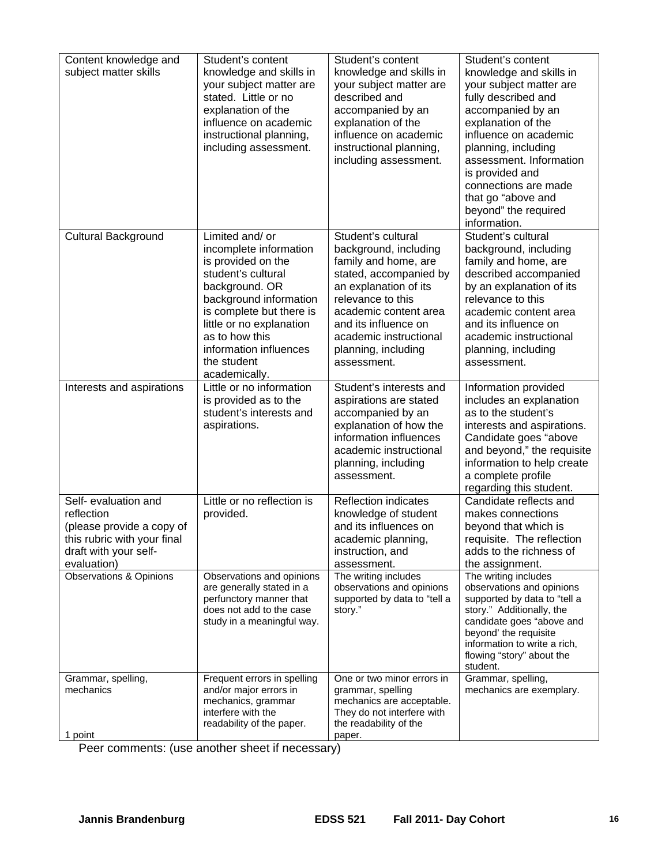| Content knowledge and<br>subject matter skills<br><b>Cultural Background</b>                                                           | Student's content<br>knowledge and skills in<br>your subject matter are<br>stated. Little or no<br>explanation of the<br>influence on academic<br>instructional planning,<br>including assessment.<br>Limited and/ or                              | Student's content<br>knowledge and skills in<br>your subject matter are<br>described and<br>accompanied by an<br>explanation of the<br>influence on academic<br>instructional planning,<br>including assessment.<br>Student's cultural | Student's content<br>knowledge and skills in<br>your subject matter are<br>fully described and<br>accompanied by an<br>explanation of the<br>influence on academic<br>planning, including<br>assessment. Information<br>is provided and<br>connections are made<br>that go "above and<br>beyond" the required<br>information.<br>Student's cultural |
|----------------------------------------------------------------------------------------------------------------------------------------|----------------------------------------------------------------------------------------------------------------------------------------------------------------------------------------------------------------------------------------------------|----------------------------------------------------------------------------------------------------------------------------------------------------------------------------------------------------------------------------------------|-----------------------------------------------------------------------------------------------------------------------------------------------------------------------------------------------------------------------------------------------------------------------------------------------------------------------------------------------------|
|                                                                                                                                        | incomplete information<br>is provided on the<br>student's cultural<br>background. OR<br>background information<br>is complete but there is<br>little or no explanation<br>as to how this<br>information influences<br>the student<br>academically. | background, including<br>family and home, are<br>stated, accompanied by<br>an explanation of its<br>relevance to this<br>academic content area<br>and its influence on<br>academic instructional<br>planning, including<br>assessment. | background, including<br>family and home, are<br>described accompanied<br>by an explanation of its<br>relevance to this<br>academic content area<br>and its influence on<br>academic instructional<br>planning, including<br>assessment.                                                                                                            |
| Interests and aspirations                                                                                                              | Little or no information<br>is provided as to the<br>student's interests and<br>aspirations.                                                                                                                                                       | Student's interests and<br>aspirations are stated<br>accompanied by an<br>explanation of how the<br>information influences<br>academic instructional<br>planning, including<br>assessment.                                             | Information provided<br>includes an explanation<br>as to the student's<br>interests and aspirations.<br>Candidate goes "above<br>and beyond," the requisite<br>information to help create<br>a complete profile<br>regarding this student.                                                                                                          |
| Self- evaluation and<br>reflection<br>(please provide a copy of<br>this rubric with your final<br>draft with your self-<br>evaluation) | Little or no reflection is<br>provided.                                                                                                                                                                                                            | <b>Reflection indicates</b><br>knowledge of student<br>and its influences on<br>academic planning,<br>instruction, and<br>assessment.                                                                                                  | Candidate reflects and<br>makes connections<br>beyond that which is<br>requisite. The reflection<br>adds to the richness of<br>the assignment.                                                                                                                                                                                                      |
| Observations & Opinions                                                                                                                | Observations and opinions<br>are generally stated in a<br>perfunctory manner that<br>does not add to the case<br>study in a meaningful way.                                                                                                        | The writing includes<br>observations and opinions<br>supported by data to "tell a<br>story."                                                                                                                                           | The writing includes<br>observations and opinions<br>supported by data to "tell a<br>story." Additionally, the<br>candidate goes "above and<br>beyond' the requisite<br>information to write a rich,<br>flowing "story" about the<br>student.                                                                                                       |
| Grammar, spelling,<br>mechanics<br>1 point                                                                                             | Frequent errors in spelling<br>and/or major errors in<br>mechanics, grammar<br>interfere with the<br>readability of the paper.                                                                                                                     | One or two minor errors in<br>grammar, spelling<br>mechanics are acceptable.<br>They do not interfere with<br>the readability of the<br>paper.                                                                                         | Grammar, spelling,<br>mechanics are exemplary.                                                                                                                                                                                                                                                                                                      |

Peer comments: (use another sheet if necessary)